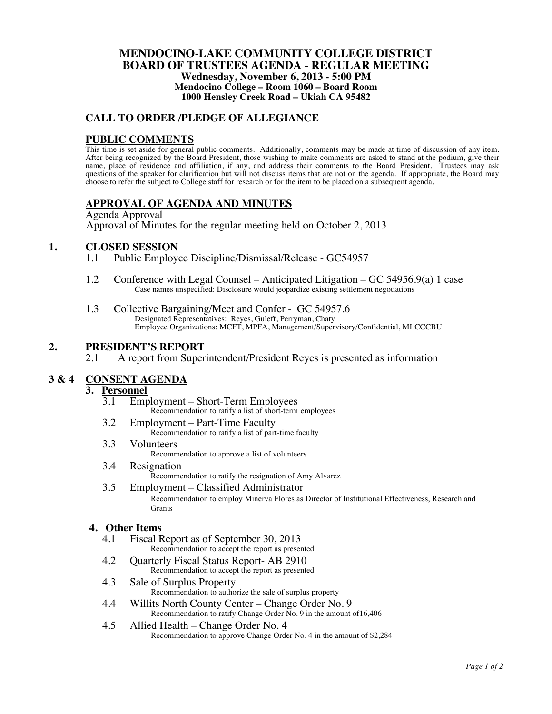#### **MENDOCINO-LAKE COMMUNITY COLLEGE DISTRICT BOARD OF TRUSTEES AGENDA** - **REGULAR MEETING Wednesday, November 6, 2013 - 5:00 PM Mendocino College – Room 1060 – Board Room 1000 Hensley Creek Road – Ukiah CA 95482**

### **CALL TO ORDER /PLEDGE OF ALLEGIANCE**

### **PUBLIC COMMENTS**

This time is set aside for general public comments. Additionally, comments may be made at time of discussion of any item. After being recognized by the Board President, those wishing to make comments are asked to stand at the podium, give their name, place of residence and affiliation, if any, and address their comments to the Board President. Trustees may ask questions of the speaker for clarification but will not discuss items that are not on the agenda. If appropriate, the Board may choose to refer the subject to College staff for research or for the item to be placed on a subsequent agenda.

### **APPROVAL OF AGENDA AND MINUTES**

Agenda Approval Approval of Minutes for the regular meeting held on October 2, 2013

# **1. CLOSED SESSION**<br>1.1 Public Employ

- Public Employee Discipline/Dismissal/Release GC54957
- 1.2 Conference with Legal Counsel Anticipated Litigation GC 54956.9(a) 1 case Case names unspecified: Disclosure would jeopardize existing settlement negotiations
- 1.3 Collective Bargaining/Meet and Confer GC 54957.6 Designated Representatives: Reyes, Guleff, Perryman, Chaty Employee Organizations: MCFT, MPFA, Management/Supervisory/Confidential, MLCCCBU

### **2. PRESIDENT'S REPORT**

2.1 A report from Superintendent/President Reyes is presented as information

### **3 & 4 CONSENT AGENDA**

## 3. **Personnel**<br> $\frac{3.1}{3.1}$  Emr

- 3.1 Employment Short-Term Employees Recommendation to ratify a list of short-term employees
- 3.2 Employment Part-Time Faculty Recommendation to ratify a list of part-time faculty
- 3.3 Volunteers Recommendation to approve a list of volunteers
- 3.4 Resignation
- Recommendation to ratify the resignation of Amy Alvarez 3.5 Employment – Classified Administrator Recommendation to employ Minerva Flores as Director of Institutional Effectiveness, Research and **Grants**

### **4.** Other Items

- Fiscal Report as of September 30, 2013 Recommendation to accept the report as presented
- 4.2 Quarterly Fiscal Status Report- AB 2910 Recommendation to accept the report as presented
- 4.3 Sale of Surplus Property Recommendation to authorize the sale of surplus property
- 4.4 Willits North County Center Change Order No. 9 Recommendation to ratify Change Order No. 9 in the amount of16,406
- 4.5 Allied Health Change Order No. 4 Recommendation to approve Change Order No. 4 in the amount of \$2,284